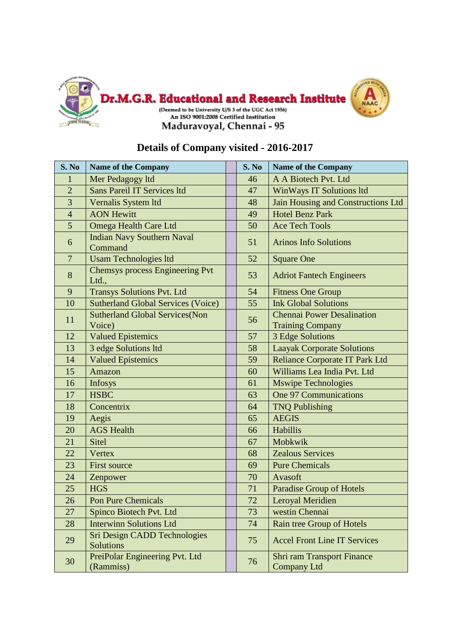



| S. No          | <b>Name of the Company</b>                       | S. No | <b>Name of the Company</b>                                   |
|----------------|--------------------------------------------------|-------|--------------------------------------------------------------|
| $\mathbf{1}$   | Mer Pedagogy ltd                                 | 46    | A A Biotech Pvt. Ltd                                         |
| $\overline{2}$ | Sans Pareil IT Services ltd                      | 47    | WinWays IT Solutions ltd                                     |
| 3              | Vernalis System ltd                              | 48    | Jain Housing and Constructions Ltd                           |
| $\overline{4}$ | <b>AON Hewitt</b>                                | 49    | <b>Hotel Benz Park</b>                                       |
| 5              | Omega Health Care Ltd                            | 50    | <b>Ace Tech Tools</b>                                        |
| 6              | <b>Indian Navy Southern Naval</b><br>Command     | 51    | <b>Arinos Info Solutions</b>                                 |
| $\overline{7}$ | <b>Usam Technologies ltd</b>                     | 52    | <b>Square One</b>                                            |
| 8              | <b>Chemsys process Engineering Pvt</b><br>Ltd.,  | 53    | <b>Adriot Fantech Engineers</b>                              |
| 9              | <b>Transys Solutions Pvt. Ltd</b>                | 54    | <b>Fitness One Group</b>                                     |
| 10             | <b>Sutherland Global Services (Voice)</b>        | 55    | <b>Ink Global Solutions</b>                                  |
| 11             | <b>Sutherland Global Services (Non</b><br>Voice) | 56    | <b>Chennai Power Desalination</b><br><b>Training Company</b> |
| 12             | <b>Valued Epistemics</b>                         | 57    | 3 Edge Solutions                                             |
| 13             | 3 edge Solutions ltd                             | 58    | <b>Laayak Corporate Solutions</b>                            |
| 14             | <b>Valued Epistemics</b>                         | 59    | <b>Reliance Corporate IT Park Ltd</b>                        |
| 15             | Amazon                                           | 60    | Williams Lea India Pvt. Ltd                                  |
| 16             | Infosys                                          | 61    | <b>Mswipe Technologies</b>                                   |
| 17             | <b>HSBC</b>                                      | 63    | <b>One 97 Communications</b>                                 |
| 18             | Concentrix                                       | 64    | <b>TNQ Publishing</b>                                        |
| 19             | Aegis                                            | 65    | <b>AEGIS</b>                                                 |
| 20             | <b>AGS</b> Health                                | 66    | Habillis                                                     |
| 21             | <b>Sitel</b>                                     | 67    | Mobkwik                                                      |
| 22             | <b>Vertex</b>                                    | 68    | <b>Zealous Services</b>                                      |
| 23             | <b>First source</b>                              | 69    | <b>Pure Chemicals</b>                                        |
| 24             | Zenpower                                         | 70    | Avasoft                                                      |
| 25             | <b>HGS</b>                                       | 71    | <b>Paradise Group of Hotels</b>                              |
| 26             | <b>Pon Pure Chemicals</b>                        | 72    | Leroyal Meridien                                             |
| 27             | Spinco Biotech Pvt. Ltd                          | 73    | westin Chennai                                               |
| 28             | <b>Interwinn Solutions Ltd</b>                   | 74    | <b>Rain tree Group of Hotels</b>                             |
| 29             | Sri Design CADD Technologies<br><b>Solutions</b> | 75    | <b>Accel Front Line IT Services</b>                          |
| 30             | PreiPolar Engineering Pvt. Ltd<br>(Rammiss)      | 76    | <b>Shri ram Transport Finance</b><br><b>Company Ltd</b>      |